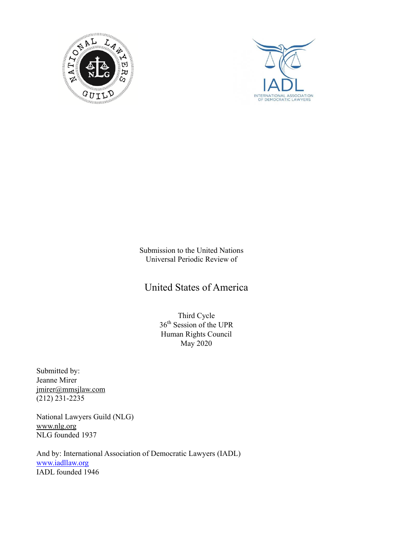



Submission to the United Nations Universal Periodic Review of

United States of America

Third Cycle 36<sup>th</sup> Session of the UPR Human Rights Council May 2020

Submitted by: Jeanne Mirer jmirer@mmsjlaw.com  $(212)$  231-2235

National Lawyers Guild (NLG) www.nlg.org NLG founded 1937

And by: International Association of Democratic Lawyers (IADL) www.iadllaw.org IADL founded 1946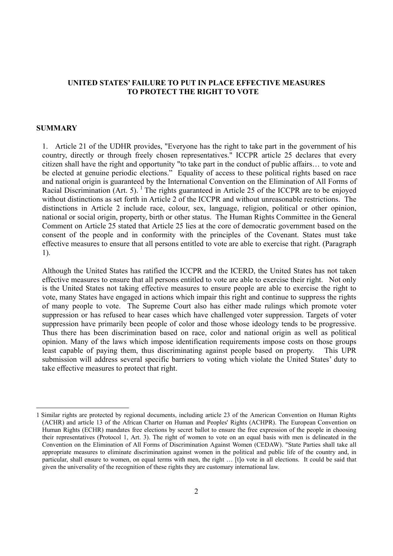## **UNITED STATES' FAILURE TO PUT IN PLACE EFFECTIVE MEASURES TO PROTECT THE RIGHT TO VOTE**

#### **SUMMARY**

-

1. Article 21 of the UDHR provides, "Everyone has the right to take part in the government of his country, directly or through freely chosen representatives." ICCPR article 25 declares that every citizen shall have the right and opportunity "to take part in the conduct of public affairs… to vote and be elected at genuine periodic elections." Equality of access to these political rights based on race and national origin is guaranteed by the International Convention on the Elimination of All Forms of Racial Discrimination (Art. 5). <sup>1</sup> The rights guaranteed in Article 25 of the ICCPR are to be enjoyed without distinctions as set forth in Article 2 of the ICCPR and without unreasonable restrictions. The distinctions in Article 2 include race, colour, sex, language, religion, political or other opinion, national or social origin, property, birth or other status. The Human Rights Committee in the General Comment on Article 25 stated that Article 25 lies at the core of democratic government based on the consent of the people and in conformity with the principles of the Covenant. States must take effective measures to ensure that all persons entitled to vote are able to exercise that right. (Paragraph 1).

Although the United States has ratified the ICCPR and the ICERD, the United States has not taken effective measures to ensure that all persons entitled to vote are able to exercise their right. Not only is the United States not taking effective measures to ensure people are able to exercise the right to vote, many States have engaged in actions which impair this right and continue to suppress the rights of many people to vote. The Supreme Court also has either made rulings which promote voter suppression or has refused to hear cases which have challenged voter suppression. Targets of voter suppression have primarily been people of color and those whose ideology tends to be progressive. Thus there has been discrimination based on race, color and national origin as well as political opinion. Many of the laws which impose identification requirements impose costs on those groups least capable of paying them, thus discriminating against people based on property. This UPR submission will address several specific barriers to voting which violate the United States' duty to take effective measures to protect that right.

<sup>1</sup> Similar rights are protected by regional documents, including article 23 of the American Convention on Human Rights (ACHR) and article 13 of the African Charter on Human and Peoples' Rights (ACHPR). The European Convention on Human Rights (ECHR) mandates free elections by secret ballot to ensure the free expression of the people in choosing their representatives (Protocol 1, Art. 3). The right of women to vote on an equal basis with men is delineated in the Convention on the Elimination of All Forms of Discrimination Against Women (CEDAW). "State Parties shall take all appropriate measures to eliminate discrimination against women in the political and public life of the country and, in particular, shall ensure to women, on equal terms with men, the right … [t]o vote in all elections. It could be said that given the universality of the recognition of these rights they are customary international law.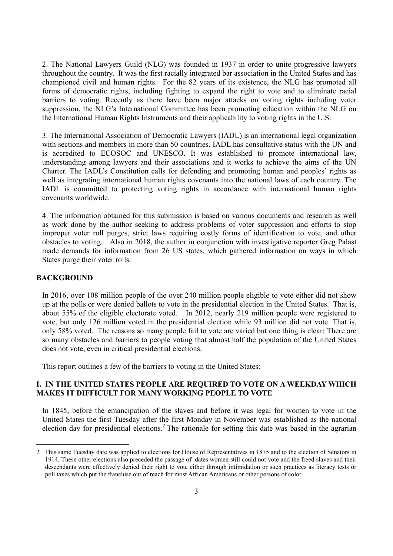2. The National Lawyers Guild (NLG) was founded in 1937 in order to unite progressive lawyers throughout the country. It was the first racially integrated bar association in the United States and has championed civil and human rights. For the 82 years of its existence, the NLG has promoted all forms of democratic rights, including fighting to expand the right to vote and to eliminate racial barriers to voting. Recently as there have been major attacks on voting rights including voter suppression, the NLG's International Committee has been promoting education within the NLG on the International Human Rights Instruments and their applicability to voting rights in the U.S.

3. The International Association of Democratic Lawyers (IADL) is an international legal organization with sections and members in more than 50 countries. IADL has consultative status with the UN and is accredited to ECOSOC and UNESCO. It was established to promote international law, understanding among lawyers and their associations and it works to achieve the aims of the UN Charter. The IADL's Constitution calls for defending and promoting human and peoples' rights as well as integrating international human rights covenants into the national laws of each country. The IADL is committed to protecting voting rights in accordance with international human rights covenants worldwide.

4. The information obtained for this submission is based on various documents and research as well as work done by the author seeking to address problems of voter suppression and efforts to stop improper voter roll purges, strict laws requiring costly forms of identification to vote, and other obstacles to voting. Also in 2018, the author in conjunction with investigative reporter Greg Palast made demands for information from 26 US states, which gathered information on ways in which States purge their voter rolls.

#### **BACKGROUND**

-

In 2016, over 108 million people of the over 240 million people eligible to vote either did not show up at the polls or were denied ballots to vote in the presidential election in the United States. That is, about 55% of the eligible electorate voted. In 2012, nearly 219 million people were registered to vote, but only 126 million voted in the presidential election while 93 million did not vote. That is, only 58% voted. The reasons so many people fail to vote are varied but one thing is clear: There are so many obstacles and barriers to people voting that almost half the population of the United States does not vote, even in critical presidential elections.

This report outlines a few of the barriers to voting in the United States:

### **I. IN THE UNITED STATES PEOPLE ARE REQUIRED TO VOTE ON A WEEKDAY WHICH MAKES IT DIFFICULT FOR MANY WORKING PEOPLE TO VOTE**

In 1845, before the emancipation of the slaves and before it was legal for women to vote in the United States the first Tuesday after the first Monday in November was established as the national election day for presidential elections.<sup>2</sup> The rationale for setting this date was based in the agrarian

<sup>2</sup> This same Tuesday date was applied to elections for House of Representatives in 1875 and to the election of Senators in 1914. These other elections also preceded the passage of dates women still could not vote and the freed slaves and their descendants were effectively denied their right to vote either through intimidation or such practices as literacy tests or poll taxes which put the franchise out of reach for most African Americans or other persons of color.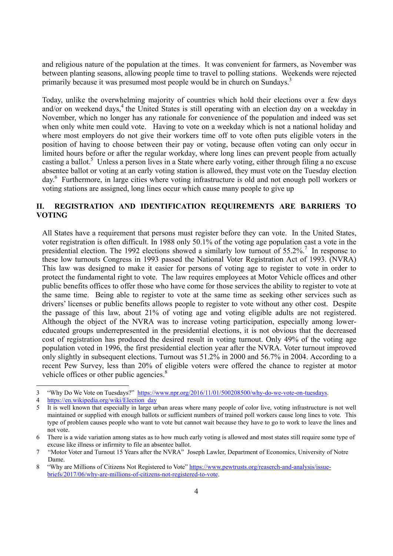and religious nature of the population at the times. It was convenient for farmers, as November was between planting seasons, allowing people time to travel to polling stations. Weekends were rejected primarily because it was presumed most people would be in church on Sundays.<sup>3</sup>

Today, unlike the overwhelming majority of countries which hold their elections over a few days and/or on weekend days,<sup>4</sup> the United States is still operating with an election day on a weekday in November, which no longer has any rationale for convenience of the population and indeed was set when only white men could vote. Having to vote on a weekday which is not a national holiday and where most employers do not give their workers time off to vote often puts eligible voters in the position of having to choose between their pay or voting, because often voting can only occur in limited hours before or after the regular workday, where long lines can prevent people from actually casting a ballot.<sup>5</sup> Unless a person lives in a State where early voting, either through filing a no excuse absentee ballot or voting at an early voting station is allowed, they must vote on the Tuesday election day.6 Furthermore, in large cities where voting infrastructure is old and not enough poll workers or voting stations are assigned, long lines occur which cause many people to give up

# **II. REGISTRATION AND IDENTIFICATION REQUIREMENTS ARE BARRIERS TO VOTING**

All States have a requirement that persons must register before they can vote. In the United States, voter registration is often difficult. In 1988 only 50.1% of the voting age population cast a vote in the presidential election. The 1992 elections showed a similarly low turnout of  $55.2\%$ .<sup>7</sup> In response to these low turnouts Congress in 1993 passed the National Voter Registration Act of 1993. (NVRA) This law was designed to make it easier for persons of voting age to register to vote in order to protect the fundamental right to vote. The law requires employees at Motor Vehicle offices and other public benefits offices to offer those who have come for those services the ability to register to vote at the same time. Being able to register to vote at the same time as seeking other services such as drivers' licenses or public benefits allows people to register to vote without any other cost. Despite the passage of this law, about 21% of voting age and voting eligible adults are not registered. Although the object of the NVRA was to increase voting participation, especially among lowereducated groups underrepresented in the presidential elections, it is not obvious that the decreased cost of registration has produced the desired result in voting turnout. Only 49% of the voting age population voted in 1996, the first presidential election year after the NVRA. Voter turnout improved only slightly in subsequent elections. Turnout was 51.2% in 2000 and 56.7% in 2004. According to a recent Pew Survey, less than 20% of eligible voters were offered the chance to register at motor vehicle offices or other public agencies.<sup>8</sup>

1

<sup>3 &</sup>quot;Why Do We Vote on Tuesdays?" https://www.npr.org/2016/11/01/500208500/why-do-we-vote-on-tuesdays.

<sup>4</sup> https://en.wikipedia.org/wiki/Election\_day

<sup>5</sup> It is well known that especially in large urban areas where many people of color live, voting infrastructure is not well maintained or supplied with enough ballots or sufficient numbers of trained poll workers cause long lines to vote. This type of problem causes people who want to vote but cannot wait because they have to go to work to leave the lines and not vote.

<sup>6</sup> There is a wide variation among states as to how much early voting is allowed and most states still require some type of excuse like illness or infirmity to file an absentee ballot.

<sup>7 &</sup>quot;Motor Voter and Turnout 15 Years after the NVRA" Joseph Lawler, Department of Economics, University of Notre Dame.<br>8 "Why are Millions of Citizens Not Registered to Vote" https://www.pewtrusts.org/reaserch-and-analysis/issue-

briefs/2017/06/why-are-millions-of-citizens-not-registered-to-vote.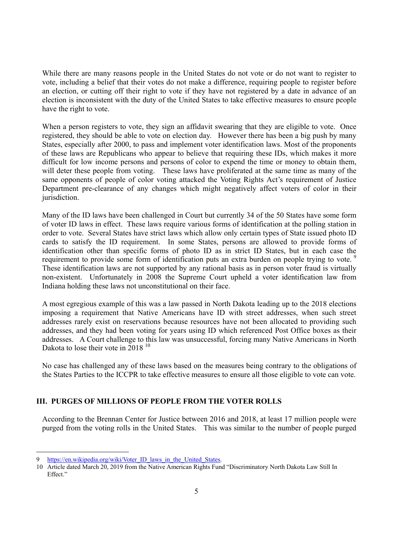While there are many reasons people in the United States do not vote or do not want to register to vote, including a belief that their votes do not make a difference, requiring people to register before an election, or cutting off their right to vote if they have not registered by a date in advance of an election is inconsistent with the duty of the United States to take effective measures to ensure people have the right to vote.

When a person registers to vote, they sign an affidavit swearing that they are eligible to vote. Once registered, they should be able to vote on election day. However there has been a big push by many States, especially after 2000, to pass and implement voter identification laws. Most of the proponents of these laws are Republicans who appear to believe that requiring these IDs, which makes it more difficult for low income persons and persons of color to expend the time or money to obtain them, will deter these people from voting. These laws have proliferated at the same time as many of the same opponents of people of color voting attacked the Voting Rights Act's requirement of Justice Department pre-clearance of any changes which might negatively affect voters of color in their jurisdiction.

Many of the ID laws have been challenged in Court but currently 34 of the 50 States have some form of voter ID laws in effect. These laws require various forms of identification at the polling station in order to vote. Several States have strict laws which allow only certain types of State issued photo ID cards to satisfy the ID requirement. In some States, persons are allowed to provide forms of identification other than specific forms of photo ID as in strict ID States, but in each case the requirement to provide some form of identification puts an extra burden on people trying to vote.<sup>9</sup> These identification laws are not supported by any rational basis as in person voter fraud is virtually non-existent. Unfortunately in 2008 the Supreme Court upheld a voter identification law from Indiana holding these laws not unconstitutional on their face.

A most egregious example of this was a law passed in North Dakota leading up to the 2018 elections imposing a requirement that Native Americans have ID with street addresses, when such street addresses rarely exist on reservations because resources have not been allocated to providing such addresses, and they had been voting for years using ID which referenced Post Office boxes as their addresses. A Court challenge to this law was unsuccessful, forcing many Native Americans in North Dakota to lose their vote in  $2018^{10}$ 

No case has challenged any of these laws based on the measures being contrary to the obligations of the States Parties to the ICCPR to take effective measures to ensure all those eligible to vote can vote.

# **III. PURGES OF MILLIONS OF PEOPLE FROM THE VOTER ROLLS**

According to the Brennan Center for Justice between 2016 and 2018, at least 17 million people were purged from the voting rolls in the United States. This was similar to the number of people purged

https://en.wikipedia.org/wiki/Voter ID laws in the United States.

<sup>10</sup> Article dated March 20, 2019 from the Native American Rights Fund "Discriminatory North Dakota Law Still In Effect."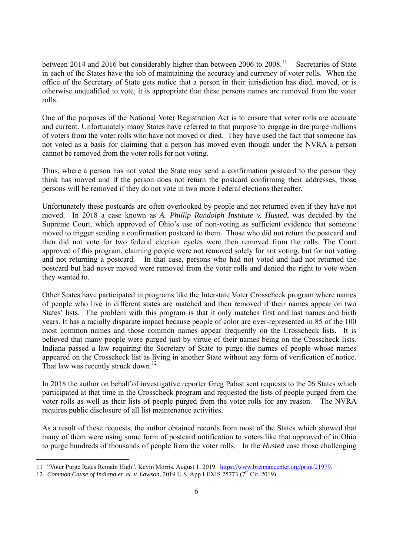between 2014 and 2016 but considerably higher than between 2006 to 2008.<sup>11</sup> Secretaries of State in each of the States have the job of maintaining the accuracy and currency of voter rolls. When the office of the Secretary of State gets notice that a person in their jurisdiction has died, moved, or is otherwise unqualified to vote, it is appropriate that these persons names are removed from the voter rolls.

One of the purposes of the National Voter Registration Act is to ensure that voter rolls are accurate and current. Unfortunately many States have referred to that purpose to engage in the purge millions of voters from the voter rolls who have not moved or died. They have used the fact that someone has not voted as a basis for claiming that a person has moved even though under the NVRA a person cannot be removed from the voter rolls for not voting.

Thus, where a person has not voted the State may send a confirmation postcard to the person they think has moved and if the person does not return the postcard confirming their addresses, those persons will be removed if they do not vote in two more Federal elections thereafter.

Unfortunately these postcards are often overlooked by people and not returned even if they have not moved. In 2018 a case known as *A. Phillip Randolph Institute v. Husted*, was decided by the Supreme Court, which approved of Ohio's use of non-voting as sufficient evidence that someone moved to trigger sending a confirmation postcard to them. Those who did not return the postcard and then did not vote for two federal election cycles were then removed from the rolls. The Court approved of this program, claiming people were not removed solely for not voting, but for not voting and not returning a postcard. In that case, persons who had not voted and had not returned the postcard but had never moved were removed from the voter rolls and denied the right to vote when they wanted to.

Other States have participated in programs like the Interstate Voter Crosscheck program where names of people who live in different states are matched and then removed if their names appear on two States' lists. The problem with this program is that it only matches first and last names and birth years. It has a racially disparate impact because people of color are over-represented in 85 of the 100 most common names and those common names appear frequently on the Crosscheck lists. It is believed that many people were purged just by virtue of their names being on the Crosscheck lists. Indiana passed a law requiring the Secretary of State to purge the names of people whose names appeared on the Crosscheck list as living in another State without any form of verification of notice. That law was recently struck down.<sup>12</sup>

In 2018 the author on behalf of investigative reporter Greg Palast sent requests to the 26 States which participated at that time in the Crosscheck program and requested the lists of people purged from the voter rolls as well as their lists of people purged from the voter rolls for any reason. The NVRA requires public disclosure of all list maintenance activities.

As a result of these requests, the author obtained records from most of the States which showed that many of them were using some form of postcard notification to voters like that approved of in Ohio to purge hundreds of thousands of people from the voter rolls. In the *Husted* case those challenging

-

<sup>11 &</sup>quot;Voter Purge Rates Remain High", Kevin Morris, August 1, 2019. https://www.brennancenter.org/print/21979.

<sup>12</sup> *Common Cause of Indiana et. al. v. Lawson,* 2019 U.S. App LEXIS 25773 (7<sup>th</sup> Cir. 2019)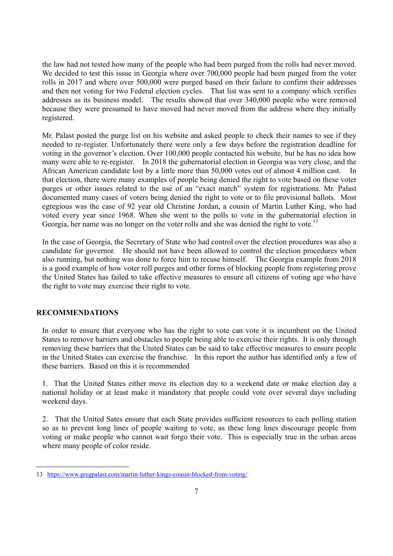the law had not tested how many of the people who had been purged from the rolls had never moved. We decided to test this issue in Georgia where over 700,000 people had been purged from the voter rolls in 2017 and where over 500,000 were purged based on their failure to confirm their addresses and then not voting for two Federal election cycles. That list was sent to a company which verifies addresses as its business model. The results showed that over 340,000 people who were removed because they were presumed to have moved had never moved from the address where they initially registered.

Mr. Palast posted the purge list on his website and asked people to check their names to see if they needed to re-register. Unfortunately there were only a few days before the registration deadline for voting in the governor's election. Over 100,000 people contacted his website, but he has no idea how many were able to re-register. In 2018 the gubernatorial election in Georgia was very close, and the African American candidate lost by a little more than 50,000 votes out of almost 4 million cast. that election, there were many examples of people being denied the right to vote based on these voter purges or other issues related to the use of an "exact match" system for registrations. Mr. Palast documented many cases of voters being denied the right to vote or to file provisional ballots. Most egregious was the case of 92 year old Christine Jordan, a cousin of Martin Luther King, who had voted every year since 1968. When she went to the polls to vote in the gubernatorial election in Georgia, her name was no longer on the voter rolls and she was denied the right to vote.<sup>13</sup>

In the case of Georgia, the Secretary of State who had control over the election procedures was also a candidate for governor. He should not have been allowed to control the election procedures when also running, but nothing was done to force him to recuse himself. The Georgia example from 2018 is a good example of how voter roll purges and other forms of blocking people from registering prove the United States has failed to take effective measures to ensure all citizens of voting age who have the right to vote may exercise their right to vote.

## **RECOMMENDATIONS**

-

In order to ensure that everyone who has the right to vote can vote it is incumbent on the United States to remove barriers and obstacles to people being able to exercise their rights. It is only through removing these barriers that the United States can be said to take effective measures to ensure people in the United States can exercise the franchise. In this report the author has identified only a few of these barriers. Based on this it is recommended

1. That the United States either move its election day to a weekend date or make election day a national holiday or at least make it mandatory that people could vote over several days including weekend days.

2. That the United Sates ensure that each State provides sufficient resources to each polling station so as to prevent long lines of people waiting to vote, as these long lines discourage people from voting or make people who cannot wait forgo their vote. This is especially true in the urban areas where many people of color reside.

<sup>13</sup> https://www.gregpalast.com/martin-luther-kings-cousin-blocked-from-voting/